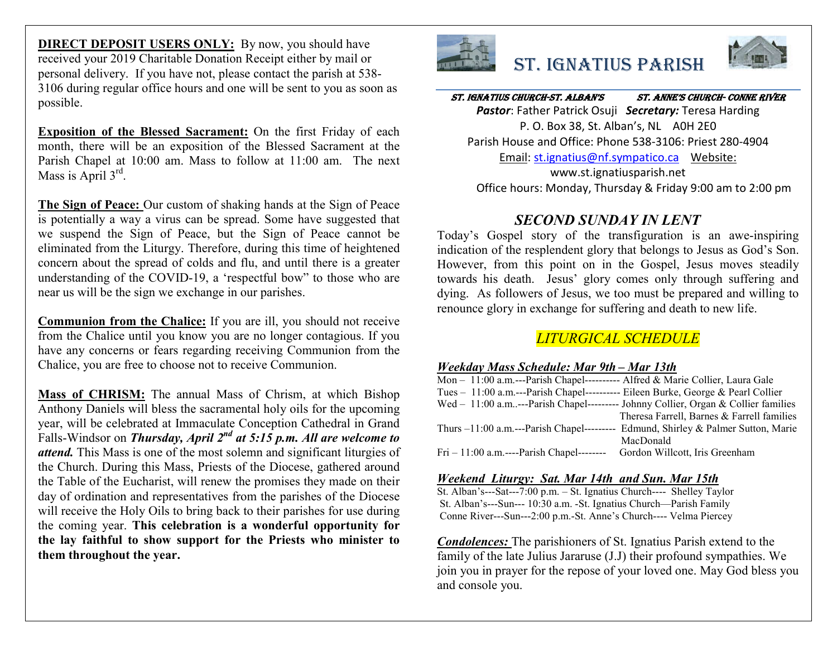**DIRECT DEPOSIT USERS ONLY:** By now, you should have received your 2019 Charitable Donation Receipt either by mail or personal delivery. If you have not, please contact the parish at 538- 3106 during regular office hours and one will be sent to you as soon as possible.

**Exposition of the Blessed Sacrament:** On the first Friday of each month, there will be an exposition of the Blessed Sacrament at the Parish Chapel at 10:00 am. Mass to follow at 11:00 am. The next Mass is April 3<sup>rd</sup>.

**The Sign of Peace:** Our custom of shaking hands at the Sign of Peace is potentially a way a virus can be spread. Some have suggested that we suspend the Sign of Peace, but the Sign of Peace cannot be eliminated from the Liturgy. Therefore, during this time of heightened concern about the spread of colds and flu, and until there is a greater understanding of the COVID-19, a 'respectful bow" to those who are near us will be the sign we exchange in our parishes.

**Communion from the Chalice:** If you are ill, you should not receive from the Chalice until you know you are no longer contagious. If you have any concerns or fears regarding receiving Communion from the Chalice, you are free to choose not to receive Communion.

**Mass of CHRISM:** The annual Mass of Chrism, at which Bishop Anthony Daniels will bless the sacramental holy oils for the upcoming year, will be celebrated at Immaculate Conception Cathedral in Grand Falls-Windsor on *Thursday, April 2nd at 5:15 p.m. All are welcome to attend.* This Mass is one of the most solemn and significant liturgies of the Church. During this Mass, Priests of the Diocese, gathered around the Table of the Eucharist, will renew the promises they made on their day of ordination and representatives from the parishes of the Diocese will receive the Holy Oils to bring back to their parishes for use during the coming year. **This celebration is a wonderful opportunity for the lay faithful to show support for the Priests who minister to them throughout the year.** 



# St. IgnatIuS ParISh



St. IgnatIuS ChurCh-St. alban'S St. anne'S ChurCh- Conne rIver *Pastor*: Father Patrick Osuji *Secretary:* Teresa Harding P. O. Box 38, St. Alban's, NL A0H 2E0 Parish House and Office: Phone 538-3106: Priest 280-4904 Email: st.ignatius@nf.sympatico.ca Website: www.st.ignatiusparish.net

Office hours: Monday, Thursday & Friday 9:00 am to 2:00 pm

# *SECOND SUNDAY IN LENT*

Today's Gospel story of the transfiguration is an awe-inspiring indication of the resplendent glory that belongs to Jesus as God's Son. However, from this point on in the Gospel, Jesus moves steadily towards his death. Jesus' glory comes only through suffering and dying. As followers of Jesus, we too must be prepared and willing to renounce glory in exchange for suffering and death to new life.

# *LITURGICAL SCHEDULE*

# *Weekday Mass Schedule: Mar 9th – Mar 13th*

| Mon - 11:00 a.m.---Parish Chapel---------- Alfred & Marie Collier, Laura Gale     |                                                                                     |
|-----------------------------------------------------------------------------------|-------------------------------------------------------------------------------------|
| Tues - 11:00 a.m.---Parish Chapel---------- Eileen Burke, George & Pearl Collier  |                                                                                     |
|                                                                                   | Wed $-11:00$ a.m---Parish Chapel---------- Johnny Collier, Organ & Collier families |
|                                                                                   | Theresa Farrell, Barnes & Farrell families                                          |
| Thurs $-11:00$ a.m.---Parish Chapel---------                                      | Edmund, Shirley & Palmer Sutton, Marie                                              |
|                                                                                   | MacDonald                                                                           |
| $\text{Fri} - 11:00$ a.m.----Parish Chapel-------- Gordon Willcott, Iris Greenham |                                                                                     |

## *Weekend Liturgy: Sat. Mar 14th and Sun. Mar 15th*

St. Alban's---Sat---7:00 p.m. – St. Ignatius Church---- Shelley Taylor St. Alban's---Sun--- 10:30 a.m. -St. Ignatius Church—Parish Family Conne River---Sun---2:00 p.m.-St. Anne's Church---- Velma Piercey

*Condolences:* The parishioners of St. Ignatius Parish extend to the family of the late Julius Jararuse (J.J) their profound sympathies. We join you in prayer for the repose of your loved one. May God bless you and console you.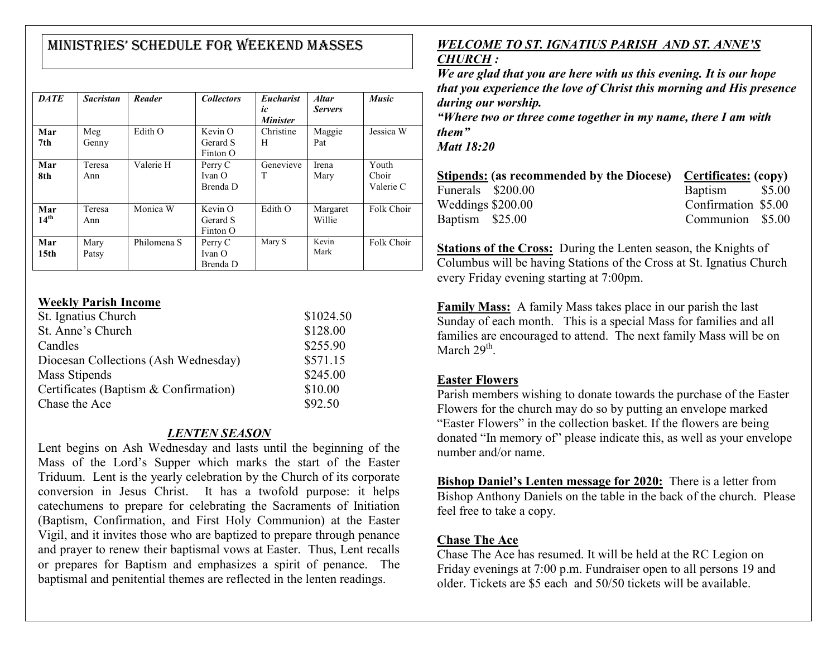# MInIStrIeS' Schedule for Weekend MaSSeS

| <b>DATE</b>             | <b>Sacristan</b> | Reader      | <b>Collectors</b>               | <b>Eucharist</b><br>ic<br><b>Minister</b> | <b>Altar</b><br><b>Servers</b> | <b>Music</b>                |
|-------------------------|------------------|-------------|---------------------------------|-------------------------------------------|--------------------------------|-----------------------------|
| Mar<br>7th              | Meg<br>Genny     | Edith O     | Kevin O<br>Gerard S<br>Finton O | Christine<br>Н                            | Maggie<br>Pat                  | Jessica W                   |
| Mar<br>8th              | Teresa<br>Ann    | Valerie H   | Perry C<br>Ivan O<br>Brenda D   | Genevieve<br>T                            | Irena<br>Mary                  | Youth<br>Choir<br>Valerie C |
| Mar<br>14 <sup>th</sup> | Teresa<br>Ann    | Monica W    | Kevin O<br>Gerard S<br>Finton O | Edith O                                   | Margaret<br>Willie             | Folk Choir                  |
| Mar<br>15 <sub>th</sub> | Mary<br>Patsy    | Philomena S | Perry C<br>Ivan O<br>Brenda D   | Mary S                                    | Kevin<br>Mark                  | Folk Choir                  |

#### **Weekly Parish Income**

| St. Ignatius Church                   | \$1024.50 |
|---------------------------------------|-----------|
| St. Anne's Church                     | \$128.00  |
| Candles                               | \$255.90  |
| Diocesan Collections (Ash Wednesday)  | \$571.15  |
| Mass Stipends                         | \$245.00  |
| Certificates (Baptism & Confirmation) | \$10.00   |
| Chase the Ace                         | \$92.50   |

# *LENTEN SEASON*

Lent begins on Ash Wednesday and lasts until the beginning of the Mass of the Lord's Supper which marks the start of the Easter Triduum. Lent is the yearly celebration by the Church of its corporate conversion in Jesus Christ. It has a twofold purpose: it helps catechumens to prepare for celebrating the Sacraments of Initiation (Baptism, Confirmation, and First Holy Communion) at the Easter Vigil, and it invites those who are baptized to prepare through penance and prayer to renew their baptismal vows at Easter. Thus, Lent recalls or prepares for Baptism and emphasizes a spirit of penance. The baptismal and penitential themes are reflected in the lenten readings.

# *WELCOME TO ST. IGNATIUS PARISH AND ST. ANNE'S CHURCH :*

*We are glad that you are here with us this evening. It is our hope that you experience the love of Christ this morning and His presence during our worship. "Where two or three come together in my name, there I am with* 

*them"*

*Matt 18:20*

|                   | Stipends: (as recommended by the Diocese) Certificates: (copy) |                     |  |
|-------------------|----------------------------------------------------------------|---------------------|--|
| Funerals \$200.00 |                                                                | Baptism \$5.00      |  |
| Weddings \$200.00 |                                                                | Confirmation \$5.00 |  |
| Baptism \$25.00   |                                                                | Communion \$5.00    |  |

**Stations of the Cross:** During the Lenten season, the Knights of Columbus will be having Stations of the Cross at St. Ignatius Church every Friday evening starting at 7:00pm.

**Family Mass:** A family Mass takes place in our parish the last Sunday of each month. This is a special Mass for families and all families are encouraged to attend. The next family Mass will be on March  $29<sup>th</sup>$ .

## **Easter Flowers**

Parish members wishing to donate towards the purchase of the Easter Flowers for the church may do so by putting an envelope marked "Easter Flowers" in the collection basket. If the flowers are being donated "In memory of" please indicate this, as well as your envelope number and/or name.

**Bishop Daniel's Lenten message for 2020:** There is a letter from Bishop Anthony Daniels on the table in the back of the church. Please feel free to take a copy.

# **Chase The Ace**

Chase The Ace has resumed. It will be held at the RC Legion on Friday evenings at 7:00 p.m. Fundraiser open to all persons 19 and older. Tickets are \$5 each and 50/50 tickets will be available.